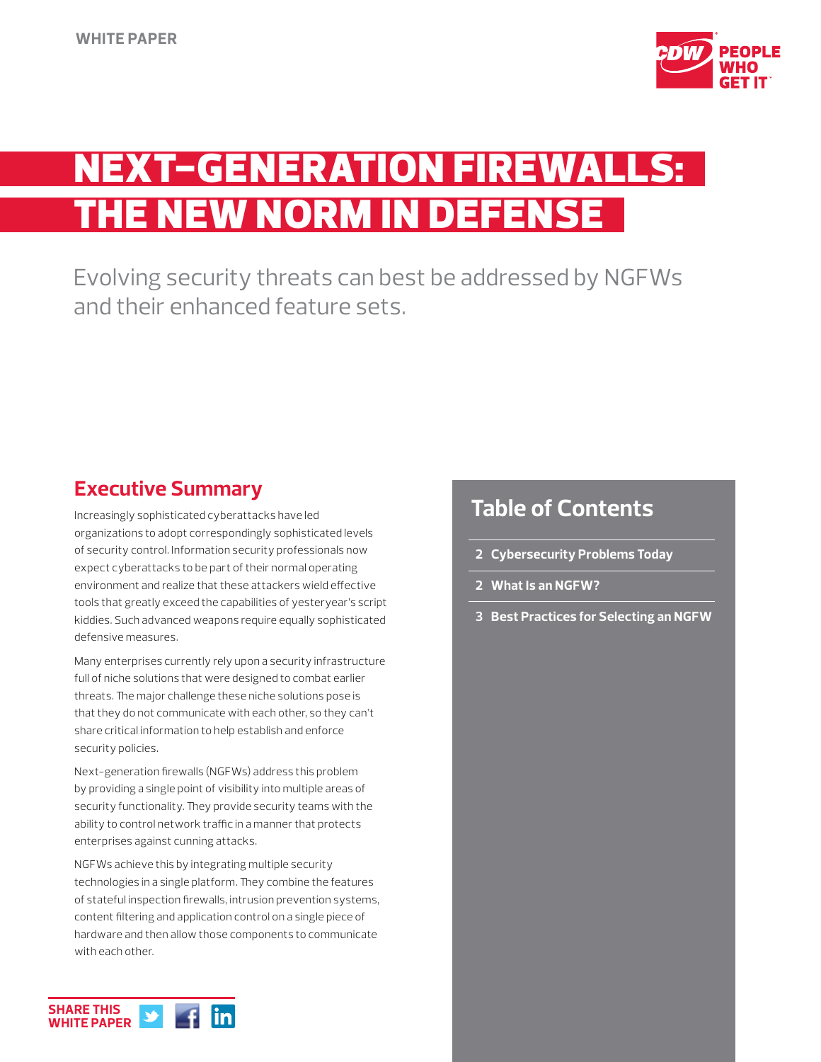

# EXT-GENERATION FIREWAL THE NEW NORM IN DEFENSE

Evolving security threats can best be addressed by NGFWs and their enhanced feature sets.

## **Executive Summary**

Increasingly sophisticated cyberattacks have led organizations to adopt correspondingly sophisticated levels of security control. Information security professionals now expect cyberattacks to be part of their normal operating environment and realize that these attackers wield effective tools that greatly exceed the capabilities of yesteryear's script kiddies. Such advanced weapons require equally sophisticated defensive measures.

Many enterprises currently rely upon a security infrastructure full of niche solutions that were designed to combat earlier threats. The major challenge these niche solutions pose is that they do not communicate with each other, so they can't share critical information to help establish and enforce security policies.

Next-generation firewalls (NGFWs) address this problem by providing a single point of visibility into multiple areas of security functionality. They provide security teams with the ability to control network traffic in a manner that protects enterprises against cunning attacks.

NGFWs achieve this by integrating multiple security technologies in a single platform. They combine the features of stateful inspection firewalls, intrusion prevention systems, content filtering and application control on a single piece of hardware and then allow those components to communicate with each other.

## **Table of Contents**

- **2 Cybersecurity Problems Today**
- **2 What Is an NGFW?**
- **3 Best Practices for Selecting an NGFW**

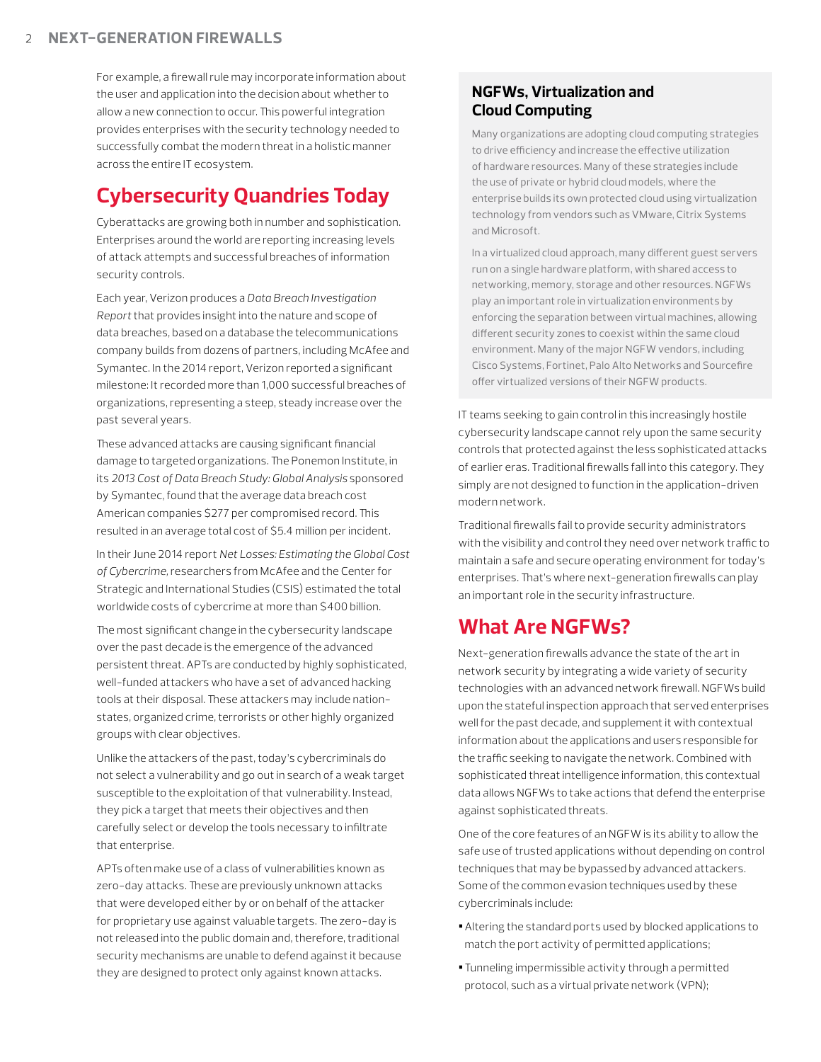For example, a firewall rule may incorporate information about the user and application into the decision about whether to allow a new connection to occur. This powerful integration provides enterprises with the security technology needed to successfully combat the modern threat in a holistic manner across the entire IT ecosystem.

## **Cybersecurity Quandries Today**

Cyberattacks are growing both in number and sophistication. Enterprises around the world are reporting increasing levels of attack attempts and successful breaches of information security controls.

Each year, Verizon produces a *Data Breach Investigation Report* that provides insight into the nature and scope of data breaches, based on a database the telecommunications company builds from dozens of partners, including McAfee and Symantec. In the 2014 report, Verizon reported a significant milestone: It recorded more than 1,000 successful breaches of organizations, representing a steep, steady increase over the past several years.

These advanced attacks are causing significant financial damage to targeted organizations. The Ponemon Institute, in its *2013 Cost of Data Breach Study: Global Analysis* sponsored by Symantec, found that the average data breach cost American companies \$277 per compromised record. This resulted in an average total cost of \$5.4 million per incident.

In their June 2014 report *Net Losses: Estimating the Global Cost of Cybercrime,* researchers from McAfee and the Center for Strategic and International Studies (CSIS) estimated the total worldwide costs of cybercrime at more than \$400 billion.

The most significant change in the cybersecurity landscape over the past decade is the emergence of the advanced persistent threat. APTs are conducted by highly sophisticated, well-funded attackers who have a set of advanced hacking tools at their disposal. These attackers may include nationstates, organized crime, terrorists or other highly organized groups with clear objectives.

Unlike the attackers of the past, today's cybercriminals do not select a vulnerability and go out in search of a weak target susceptible to the exploitation of that vulnerability. Instead, they pick a target that meets their objectives and then carefully select or develop the tools necessary to infiltrate that enterprise.

APTs often make use of a class of vulnerabilities known as zero-day attacks. These are previously unknown attacks that were developed either by or on behalf of the attacker for proprietary use against valuable targets. The zero-day is not released into the public domain and, therefore, traditional security mechanisms are unable to defend against it because they are designed to protect only against known attacks.

### **NGFWs, Virtualization and Cloud Computing**

Many organizations are adopting cloud computing strategies to drive efficiency and increase the effective utilization of hardware resources. Many of these strategies include the use of private or hybrid cloud models, where the enterprise builds its own protected cloud using virtualization technology from vendors such as VMware, Citrix Systems and Microsoft.

In a virtualized cloud approach, many different guest servers run on a single hardware platform, with shared access to networking, memory, storage and other resources. NGFWs play an important role in virtualization environments by enforcing the separation between virtual machines, allowing different security zones to coexist within the same cloud environment. Many of the major NGFW vendors, including Cisco Systems, Fortinet, Palo Alto Networks and Sourcefire offer virtualized versions of their NGFW products.

IT teams seeking to gain control in this increasingly hostile cybersecurity landscape cannot rely upon the same security controls that protected against the less sophisticated attacks of earlier eras. Traditional firewalls fall into this category. They simply are not designed to function in the application-driven modern network.

Traditional firewalls fail to provide security administrators with the visibility and control they need over network traffic to maintain a safe and secure operating environment for today's enterprises. That's where next-generation firewalls can play an important role in the security infrastructure.

## **What Are NGFWs?**

Next-generation firewalls advance the state of the art in network security by integrating a wide variety of security technologies with an advanced network firewall. NGFWs build upon the stateful inspection approach that served enterprises well for the past decade, and supplement it with contextual information about the applications and users responsible for the traffic seeking to navigate the network. Combined with sophisticated threat intelligence information, this contextual data allows NGFWs to take actions that defend the enterprise against sophisticated threats.

One of the core features of an NGFW is its ability to allow the safe use of trusted applications without depending on control techniques that may be bypassed by advanced attackers. Some of the common evasion techniques used by these cybercriminals include:

- **•**Altering the standard ports used by blocked applications to match the port activity of permitted applications;
- **•**Tunneling impermissible activity through a permitted protocol, such as a virtual private network (VPN);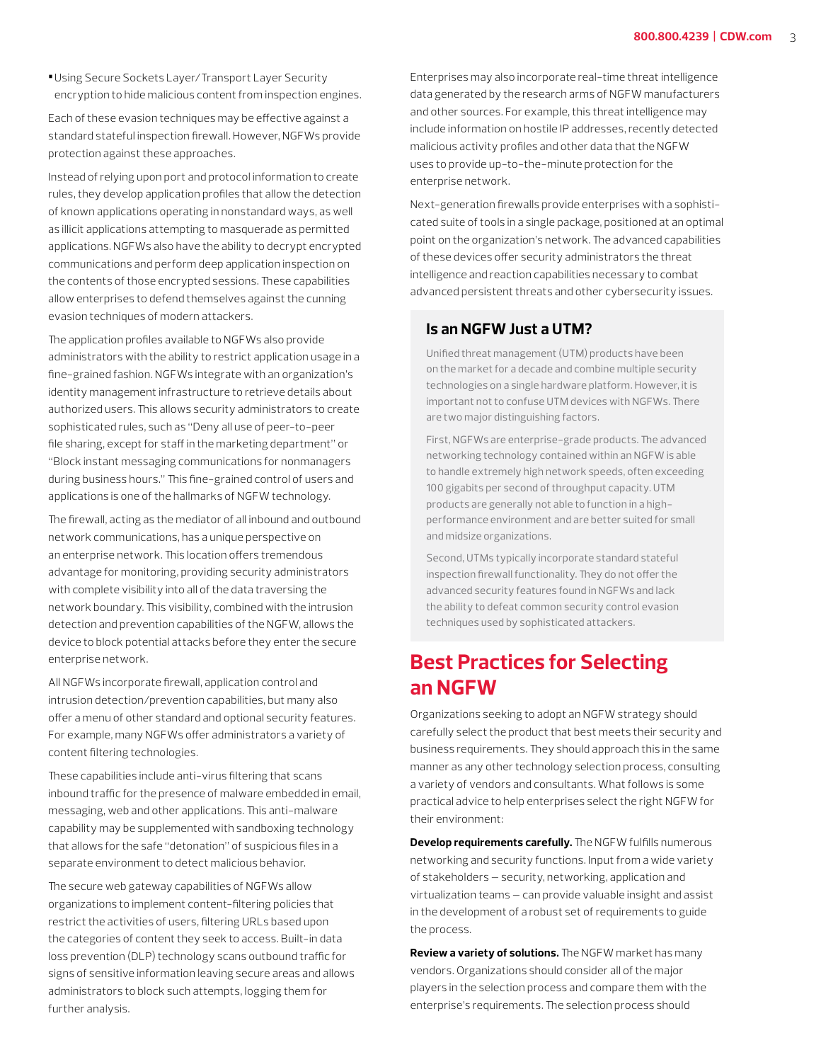**•**Using Secure Sockets Layer/Transport Layer Security encryption to hide malicious content from inspection engines.

Each of these evasion techniques may be effective against a standard stateful inspection firewall. However, NGFWs provide protection against these approaches.

Instead of relying upon port and protocol information to create rules, they develop application profiles that allow the detection of known applications operating in nonstandard ways, as well as illicit applications attempting to masquerade as permitted applications. NGFWs also have the ability to decrypt encrypted communications and perform deep application inspection on the contents of those encrypted sessions. These capabilities allow enterprises to defend themselves against the cunning evasion techniques of modern attackers.

The application profiles available to NGFWs also provide administrators with the ability to restrict application usage in a fine-grained fashion. NGFWs integrate with an organization's identity management infrastructure to retrieve details about authorized users. This allows security administrators to create sophisticated rules, such as "Deny all use of peer-to-peer file sharing, except for staff in the marketing department" or "Block instant messaging communications for nonmanagers during business hours." This fine-grained control of users and applications is one of the hallmarks of NGFW technology.

The firewall, acting as the mediator of all inbound and outbound network communications, has a unique perspective on an enterprise network. This location offers tremendous advantage for monitoring, providing security administrators with complete visibility into all of the data traversing the network boundary. This visibility, combined with the intrusion detection and prevention capabilities of the NGFW, allows the device to block potential attacks before they enter the secure enterprise network.

All NGFWs incorporate firewall, application control and intrusion detection/prevention capabilities, but many also offer a menu of other standard and optional security features. For example, many NGFWs offer administrators a variety of content filtering technologies.

These capabilities include anti-virus filtering that scans inbound traffic for the presence of malware embedded in email, messaging, web and other applications. This anti-malware capability may be supplemented with sandboxing technology that allows for the safe "detonation" of suspicious files in a separate environment to detect malicious behavior.

The secure web gateway capabilities of NGFWs allow organizations to implement content-filtering policies that restrict the activities of users, filtering URLs based upon the categories of content they seek to access. Built-in data loss prevention (DLP) technology scans outbound traffic for signs of sensitive information leaving secure areas and allows administrators to block such attempts, logging them for further analysis.

Enterprises may also incorporate real-time threat intelligence data generated by the research arms of NGFW manufacturers and other sources. For example, this threat intelligence may include information on hostile IP addresses, recently detected malicious activity profiles and other data that the NGFW uses to provide up-to-the-minute protection for the enterprise network.

Next-generation firewalls provide enterprises with a sophisticated suite of tools in a single package, positioned at an optimal point on the organization's network. The advanced capabilities of these devices offer security administrators the threat intelligence and reaction capabilities necessary to combat advanced persistent threats and other cybersecurity issues.

#### **Is an NGFW Just a UTM?**

Unified threat management (UTM) products have been on the market for a decade and combine multiple security technologies on a single hardware platform. However, it is important not to confuse UTM devices with NGFWs. There are two major distinguishing factors.

First, NGFWs are enterprise-grade products. The advanced networking technology contained within an NGFW is able to handle extremely high network speeds, often exceeding 100 gigabits per second of throughput capacity. UTM products are generally not able to function in a highperformance environment and are better suited for small and midsize organizations.

Second, UTMs typically incorporate standard stateful inspection firewall functionality. They do not offer the advanced security features found in NGFWs and lack the ability to defeat common security control evasion techniques used by sophisticated attackers.

## **Best Practices for Selecting an NGFW**

Organizations seeking to adopt an NGFW strategy should carefully select the product that best meets their security and business requirements. They should approach this in the same manner as any other technology selection process, consulting a variety of vendors and consultants. What follows is some practical advice to help enterprises select the right NGFW for their environment:

**Develop requirements carefully.** The NGFW fulfills numerous networking and security functions. Input from a wide variety of stakeholders — security, networking, application and virtualization teams — can provide valuable insight and assist in the development of a robust set of requirements to guide the process.

**Review a variety of solutions.** The NGFW market has many vendors. Organizations should consider all of the major players in the selection process and compare them with the enterprise's requirements. The selection process should